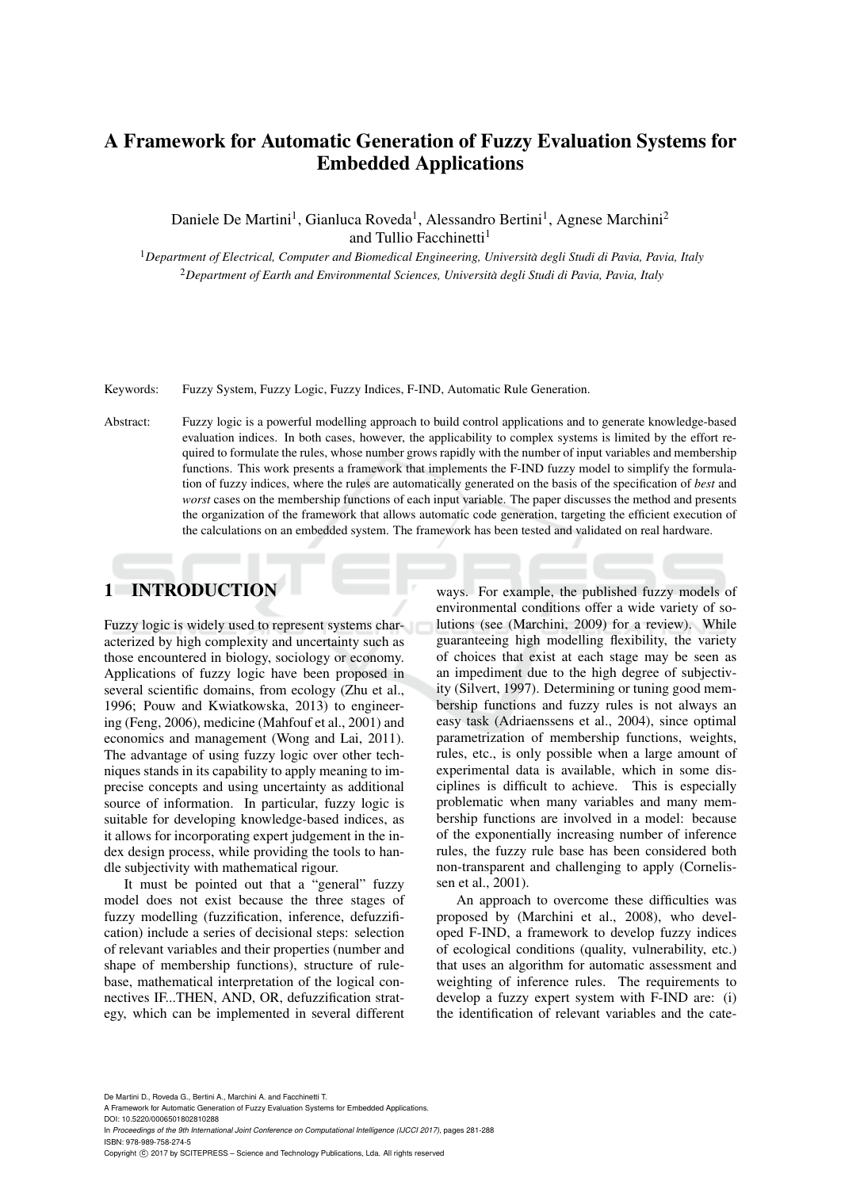# A Framework for Automatic Generation of Fuzzy Evaluation Systems for Embedded Applications

Daniele De Martini<sup>1</sup>, Gianluca Roveda<sup>1</sup>, Alessandro Bertini<sup>1</sup>, Agnese Marchini<sup>2</sup> and Tullio Facchinetti<sup>1</sup>

<sup>1</sup>*Department of Electrical, Computer and Biomedical Engineering, Universita degli Studi di Pavia, Pavia, Italy `* <sup>2</sup>*Department of Earth and Environmental Sciences, Universita degli Studi di Pavia, Pavia, Italy `*

Keywords: Fuzzy System, Fuzzy Logic, Fuzzy Indices, F-IND, Automatic Rule Generation.

Abstract: Fuzzy logic is a powerful modelling approach to build control applications and to generate knowledge-based evaluation indices. In both cases, however, the applicability to complex systems is limited by the effort required to formulate the rules, whose number grows rapidly with the number of input variables and membership functions. This work presents a framework that implements the F-IND fuzzy model to simplify the formulation of fuzzy indices, where the rules are automatically generated on the basis of the specification of *best* and *worst* cases on the membership functions of each input variable. The paper discusses the method and presents the organization of the framework that allows automatic code generation, targeting the efficient execution of the calculations on an embedded system. The framework has been tested and validated on real hardware.

# 1 INTRODUCTION

Fuzzy logic is widely used to represent systems characterized by high complexity and uncertainty such as those encountered in biology, sociology or economy. Applications of fuzzy logic have been proposed in several scientific domains, from ecology (Zhu et al., 1996; Pouw and Kwiatkowska, 2013) to engineering (Feng, 2006), medicine (Mahfouf et al., 2001) and economics and management (Wong and Lai, 2011). The advantage of using fuzzy logic over other techniques stands in its capability to apply meaning to imprecise concepts and using uncertainty as additional source of information. In particular, fuzzy logic is suitable for developing knowledge-based indices, as it allows for incorporating expert judgement in the index design process, while providing the tools to handle subjectivity with mathematical rigour.

It must be pointed out that a "general" fuzzy model does not exist because the three stages of fuzzy modelling (fuzzification, inference, defuzzification) include a series of decisional steps: selection of relevant variables and their properties (number and shape of membership functions), structure of rulebase, mathematical interpretation of the logical connectives IF...THEN, AND, OR, defuzzification strategy, which can be implemented in several different ways. For example, the published fuzzy models of environmental conditions offer a wide variety of solutions (see (Marchini, 2009) for a review). While guaranteeing high modelling flexibility, the variety of choices that exist at each stage may be seen as an impediment due to the high degree of subjectivity (Silvert, 1997). Determining or tuning good membership functions and fuzzy rules is not always an easy task (Adriaenssens et al., 2004), since optimal parametrization of membership functions, weights, rules, etc., is only possible when a large amount of experimental data is available, which in some disciplines is difficult to achieve. This is especially problematic when many variables and many membership functions are involved in a model: because of the exponentially increasing number of inference rules, the fuzzy rule base has been considered both non-transparent and challenging to apply (Cornelissen et al., 2001).

An approach to overcome these difficulties was proposed by (Marchini et al., 2008), who developed F-IND, a framework to develop fuzzy indices of ecological conditions (quality, vulnerability, etc.) that uses an algorithm for automatic assessment and weighting of inference rules. The requirements to develop a fuzzy expert system with F-IND are: (i) the identification of relevant variables and the cate-

De Martini D., Roveda G., Bertini A., Marchini A. and Facchinetti T.

A Framework for Automatic Generation of Fuzzy Evaluation Systems for Embedded Applications.

DOI: 10.5220/0006501802810288

In *Proceedings of the 9th International Joint Conference on Computational Intelligence (IJCCI 2017)*, pages 281-288 ISBN: 978-989-758-274-5

Copyright © 2017 by SCITEPRESS - Science and Technology Publications, Lda. All rights reserved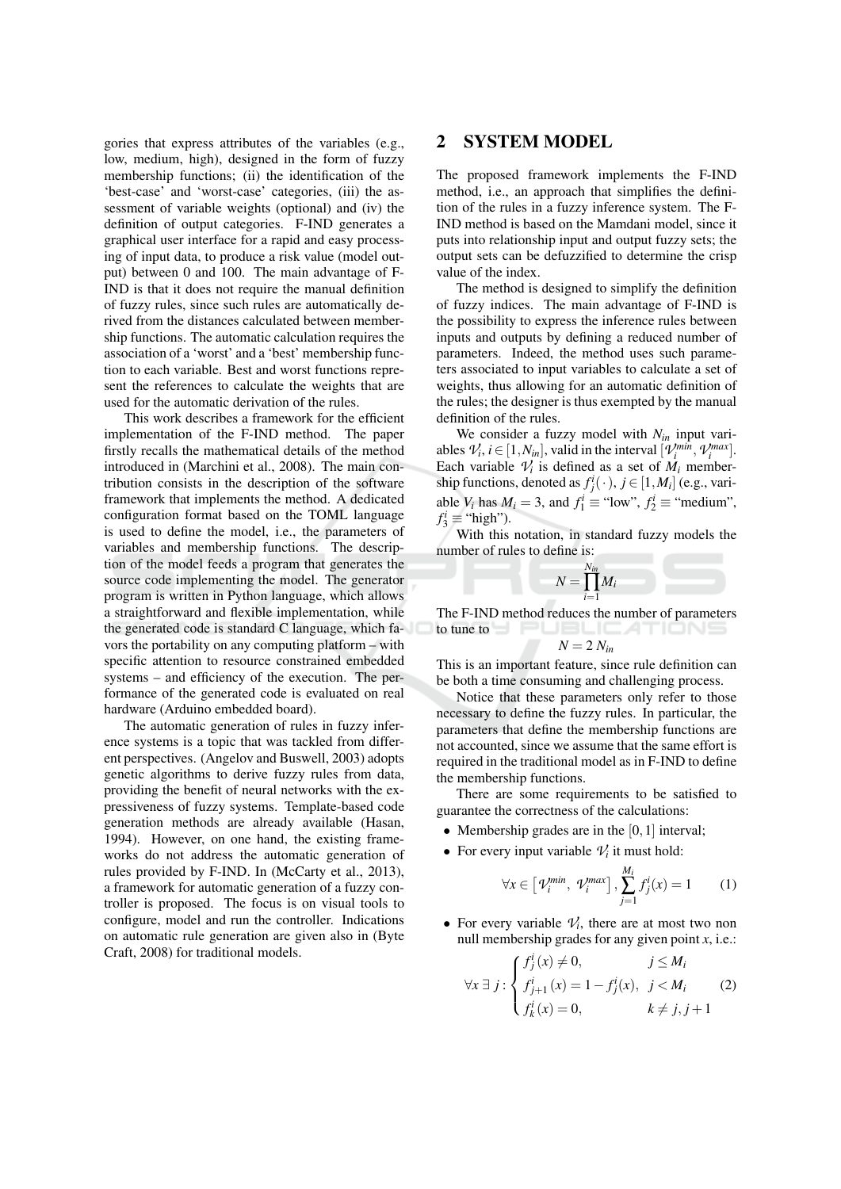gories that express attributes of the variables (e.g., low, medium, high), designed in the form of fuzzy membership functions; (ii) the identification of the 'best-case' and 'worst-case' categories, (iii) the assessment of variable weights (optional) and (iv) the definition of output categories. F-IND generates a graphical user interface for a rapid and easy processing of input data, to produce a risk value (model output) between 0 and 100. The main advantage of F-IND is that it does not require the manual definition of fuzzy rules, since such rules are automatically derived from the distances calculated between membership functions. The automatic calculation requires the association of a 'worst' and a 'best' membership function to each variable. Best and worst functions represent the references to calculate the weights that are used for the automatic derivation of the rules.

This work describes a framework for the efficient implementation of the F-IND method. The paper firstly recalls the mathematical details of the method introduced in (Marchini et al., 2008). The main contribution consists in the description of the software framework that implements the method. A dedicated configuration format based on the TOML language is used to define the model, i.e., the parameters of variables and membership functions. The description of the model feeds a program that generates the source code implementing the model. The generator program is written in Python language, which allows a straightforward and flexible implementation, while the generated code is standard C language, which favors the portability on any computing platform – with specific attention to resource constrained embedded systems – and efficiency of the execution. The performance of the generated code is evaluated on real hardware (Arduino embedded board).

The automatic generation of rules in fuzzy inference systems is a topic that was tackled from different perspectives. (Angelov and Buswell, 2003) adopts genetic algorithms to derive fuzzy rules from data, providing the benefit of neural networks with the expressiveness of fuzzy systems. Template-based code generation methods are already available (Hasan, 1994). However, on one hand, the existing frameworks do not address the automatic generation of rules provided by F-IND. In (McCarty et al., 2013), a framework for automatic generation of a fuzzy controller is proposed. The focus is on visual tools to configure, model and run the controller. Indications on automatic rule generation are given also in (Byte Craft, 2008) for traditional models.

### $\mathbf{2}$ **SYSTEM MODEL**

The proposed framework implements the F-IND method, i.e., an approach that simplifies the definition of the rules in a fuzzy inference system. The F-IND method is based on the Mamdani model, since it puts into relationship input and output fuzzy sets; the output sets can be defuzzified to determine the crisp value of the index.

The method is designed to simplify the definition of fuzzy indices. The main advantage of F-IND is the possibility to express the inference rules between inputs and outputs by defining a reduced number of parameters. Indeed, the method uses such parameters associated to input variables to calculate a set of weights, thus allowing for an automatic definition of the rules; the designer is thus exempted by the manual definition of the rules.

We consider a fuzzy model with  $N_{in}$  input variables  $\mathcal{V}_i$ ,  $i \in [1, N_{in}],$  valid in the interval  $[\mathcal{V}_i^{min}, \mathcal{V}_i^{max}].$ Each variable  $V_i$  is defined as a set of  $M_i$  membership functions, denoted as  $f_j^i(\cdot)$ ,  $j \in [1, M_i]$  (e.g., variable  $V_i$  has  $M_i = 3$ , and  $f_1^i \equiv$  "low",  $f_2^i \equiv$  "medium",  $f_3^i \equiv$  "high").

With this notation, in standard fuzzy models the number of rules to define is:



The F-IND method reduces the number of parameters to tune to  $\Box$ 

$$
N=2 N_{ii}
$$

This is an important feature, since rule definition can be both a time consuming and challenging process.

Notice that these parameters only refer to those necessary to define the fuzzy rules. In particular, the parameters that define the membership functions are not accounted, since we assume that the same effort is required in the traditional model as in F-IND to define the membership functions.

There are some requirements to be satisfied to guarantee the correctness of the calculations:

- Membership grades are in the  $[0, 1]$  interval;
- For every input variable  $V_i$  it must hold:

$$
\forall x \in \left[\mathcal{V}_i^{\text{min}}, \ \mathcal{V}_i^{\text{max}}\right], \sum_{j=1}^{M_i} f_j^i(x) = 1 \tag{1}
$$

• For every variable  $V_i$ , there are at most two non null membership grades for any given point  $x$ , i.e.:

$$
\forall x \exists j : \begin{cases} f_j^i(x) \neq 0, & j \le M_i \\ f_{j+1}^i(x) = 1 - f_j^i(x), & j < M_i \\ f_k^i(x) = 0, & k \neq j, j+1 \end{cases}
$$
(2)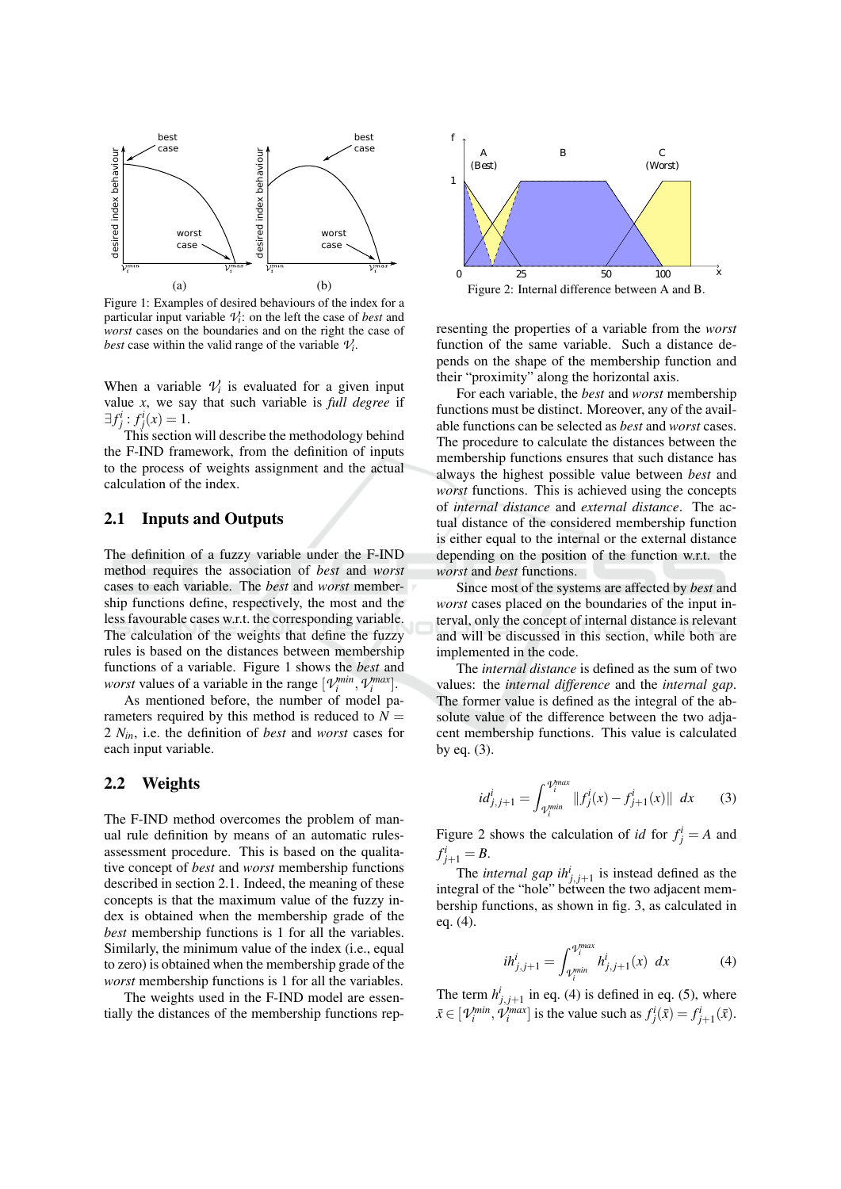

Figure 1: Examples of desired behaviours of the index for a particular input variable  $V_i$ : on the left the case of *best* and worst cases on the boundaries and on the right the case of best case within the valid range of the variable  $V_i$ .

When a variable  $V_i$  is evaluated for a given input value  $x$ , we say that such variable is *full degree* if  $\exists f_j^i : f_j^i(x) = 1.$ <br>This section will describe the methodology behind

the F-IND framework, from the definition of inputs to the process of weights assignment and the actual calculation of the index.

#### $2.1$ **Inputs and Outputs**

The definition of a fuzzy variable under the F-IND method requires the association of *best* and *worst* cases to each variable. The *best* and *worst* membership functions define, respectively, the most and the less favourable cases w.r.t. the corresponding variable. The calculation of the weights that define the fuzzy rules is based on the distances between membership functions of a variable. Figure 1 shows the *best* and *worst* values of a variable in the range  $[\mathcal{V}_i^{min}, \mathcal{V}_i^{max}]$ .

As mentioned before, the number of model parameters required by this method is reduced to  $N =$ 2  $N_{in}$ , i.e. the definition of *best* and *worst* cases for each input variable.

#### $2.2$ **Weights**

The F-IND method overcomes the problem of manual rule definition by means of an automatic rulesassessment procedure. This is based on the qualitative concept of *best* and *worst* membership functions described in section 2.1. Indeed, the meaning of these concepts is that the maximum value of the fuzzy index is obtained when the membership grade of the best membership functions is 1 for all the variables. Similarly, the minimum value of the index (i.e., equal to zero) is obtained when the membership grade of the worst membership functions is 1 for all the variables.

The weights used in the F-IND model are essentially the distances of the membership functions rep-



resenting the properties of a variable from the *worst* function of the same variable. Such a distance depends on the shape of the membership function and their "proximity" along the horizontal axis.

For each variable, the *best* and *worst* membership functions must be distinct. Moreover, any of the available functions can be selected as *best* and *worst* cases. The procedure to calculate the distances between the membership functions ensures that such distance has always the highest possible value between *best* and worst functions. This is achieved using the concepts of internal distance and external distance. The actual distance of the considered membership function is either equal to the internal or the external distance depending on the position of the function w.r.t. the worst and best functions.

Since most of the systems are affected by *best* and worst cases placed on the boundaries of the input interval, only the concept of internal distance is relevant and will be discussed in this section, while both are implemented in the code.

The *internal distance* is defined as the sum of two values: the *internal difference* and the *internal gap*. The former value is defined as the integral of the absolute value of the difference between the two adjacent membership functions. This value is calculated by eq.  $(3)$ .

$$
id_{j,j+1}^{i} = \int_{\gamma_{i}^{min}}^{\gamma_{i}^{max}} ||f_{j}^{i}(x) - f_{j+1}^{i}(x)|| dx
$$
 (3)

Figure 2 shows the calculation of *id* for  $f_i^i = A$  and  $f_{j+1}^i = B.$ 

The *internal gap*  $ih_{i,j+1}^{i}$  is instead defined as the integral of the "hole" between the two adjacent membership functions, as shown in fig. 3, as calculated in eq.  $(4)$ .

$$
ih_{j,j+1}^i = \int_{\gamma_i^{min}}^{\gamma_i^{max}} h_{j,j+1}^i(x) \, dx \tag{4}
$$

The term  $h^{i}_{i,i+1}$  in eq. (4) is defined in eq. (5), where  $\bar{x} \in [\mathcal{V}_i^{min}, \mathcal{V}_i^{max}]$  is the value such as  $f_j^i(\bar{x}) = f_{j+1}^i(\bar{x})$ .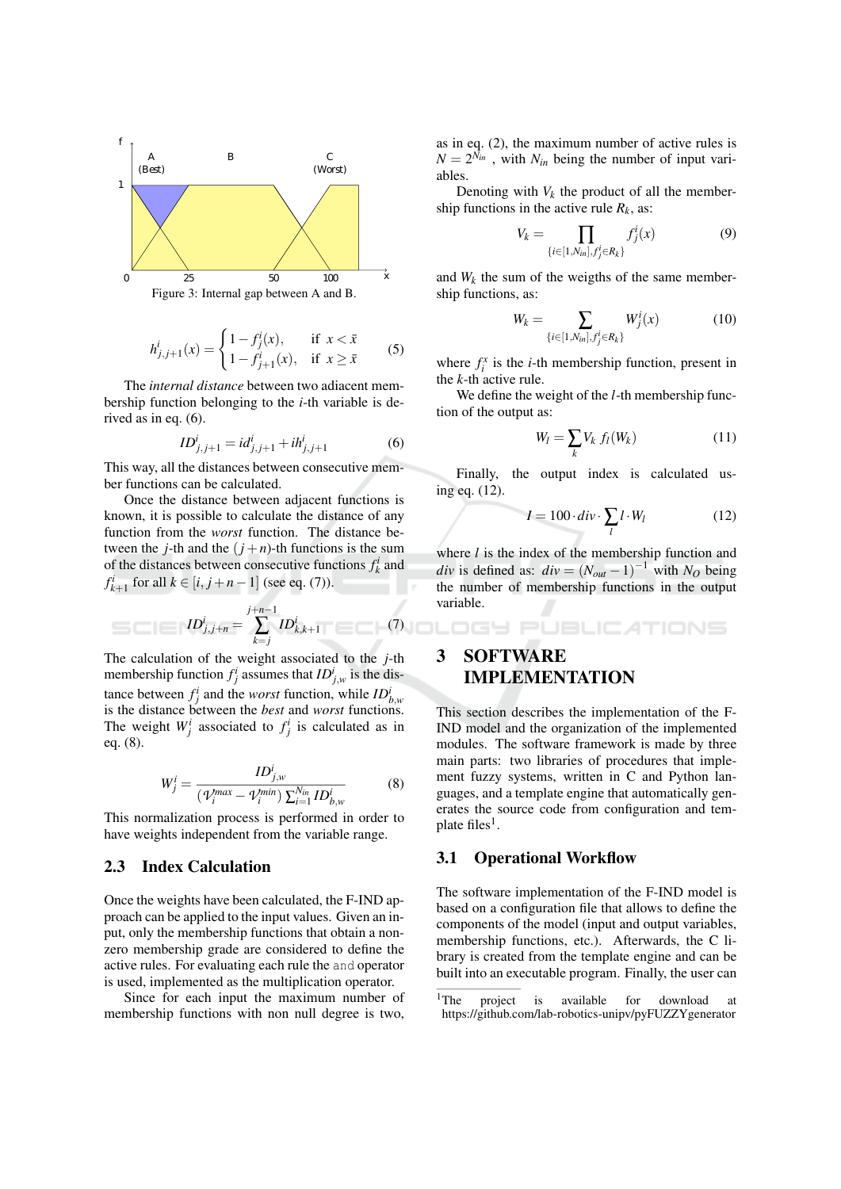

$$
h_{j,j+1}^{i}(x) = \begin{cases} 1 - f_{j}^{i}(x), & \text{if } x < \bar{x} \\ 1 - f_{j+1}^{i}(x), & \text{if } x \ge \bar{x} \end{cases}
$$
 (5)

The *internal distance* between two adiacent membership function belonging to the  $i$ -th variable is derived as in eq.  $(6)$ .

$$
ID_{j,j+1}^i = id_{j,j+1}^i + ih_{j,j+1}^i \tag{6}
$$

This way, all the distances between consecutive member functions can be calculated.

Once the distance between adjacent functions is known, it is possible to calculate the distance of any function from the worst function. The distance between the *j*-th and the  $(j+n)$ -th functions is the sum of the distances between consecutive functions  $f_k^i$  and  $f_{k+1}^i$  for all  $k \in [i, j+n-1]$  (see eq. (7)).

$$
ID_{j,j+n}^i = \sum_{k=j}^{j+n-1} ID_{k,k+1}^i \tag{7}
$$

The calculation of the weight associated to the  $j$ -th membership function  $f_i^i$  assumes that  $ID_{i,w}^i$  is the distance between  $f_i^i$  and the *worst* function, while  $ID_{h,w}^i$ is the distance between the *best* and *worst* functions. The weight  $W_i^i$  associated to  $f_i^i$  is calculated as in eq.  $(8)$ .

$$
W_j^i = \frac{ID_{j,w}^i}{(\mathcal{V}_i^{max} - \mathcal{V}_i^{min}) \sum_{i=1}^{N_{in}} ID_{b,w}^i}
$$
(8)

This normalization process is performed in order to have weights independent from the variable range.

#### $2.3$ **Index Calculation**

Once the weights have been calculated, the F-IND approach can be applied to the input values. Given an input, only the membership functions that obtain a nonzero membership grade are considered to define the active rules. For evaluating each rule the and operator is used, implemented as the multiplication operator.

Since for each input the maximum number of membership functions with non null degree is two.

as in eq.  $(2)$ , the maximum number of active rules is  $N = 2^{N_{in}}$ , with  $N_{in}$  being the number of input variables.

Denoting with  $V_k$  the product of all the membership functions in the active rule  $R_k$ , as:

$$
V_k = \prod_{\{i \in [1, N_{in}], f_j^i \in R_k\}} f_j^i(x) \tag{9}
$$

and  $W_k$  the sum of the weigths of the same membership functions, as:

$$
W_k = \sum_{\{i \in [1, N_{in}], f_j^i \in R_k\}} W_j^i(x) \tag{10}
$$

where  $f_i^x$  is the *i*-th membership function, present in the  $k$ -th active rule.

We define the weight of the *l*-th membership function of the output as:

$$
W_l = \sum_k V_k f_l(W_k)
$$
 (11)

Finally, the output index is calculated using eq. (12).

$$
I = 100 \cdot div \cdot \sum_{l} l \cdot W_{l} \tag{12}
$$

**JBLICATIONS** 

where  $l$  is the index of the membership function and *div* is defined as:  $div = (N_{out} - 1)^{-1}$  with N<sub>O</sub> being the number of membership functions in the output variable

## 3 **SOFTWARE IMPLEMENTATION**

ogy pl

This section describes the implementation of the F-IND model and the organization of the implemented modules. The software framework is made by three main parts: two libraries of procedures that implement fuzzy systems, written in C and Python languages, and a template engine that automatically generates the source code from configuration and template files<sup>1</sup>.

#### **Operational Workflow** 3.1

The software implementation of the F-IND model is based on a configuration file that allows to define the components of the model (input and output variables, membership functions, etc.). Afterwards, the C library is created from the template engine and can be built into an executable program. Finally, the user can

 $\rm ^1 The$ project is available for download **at** https://github.com/lab-robotics-unipv/pyFUZZYgenerator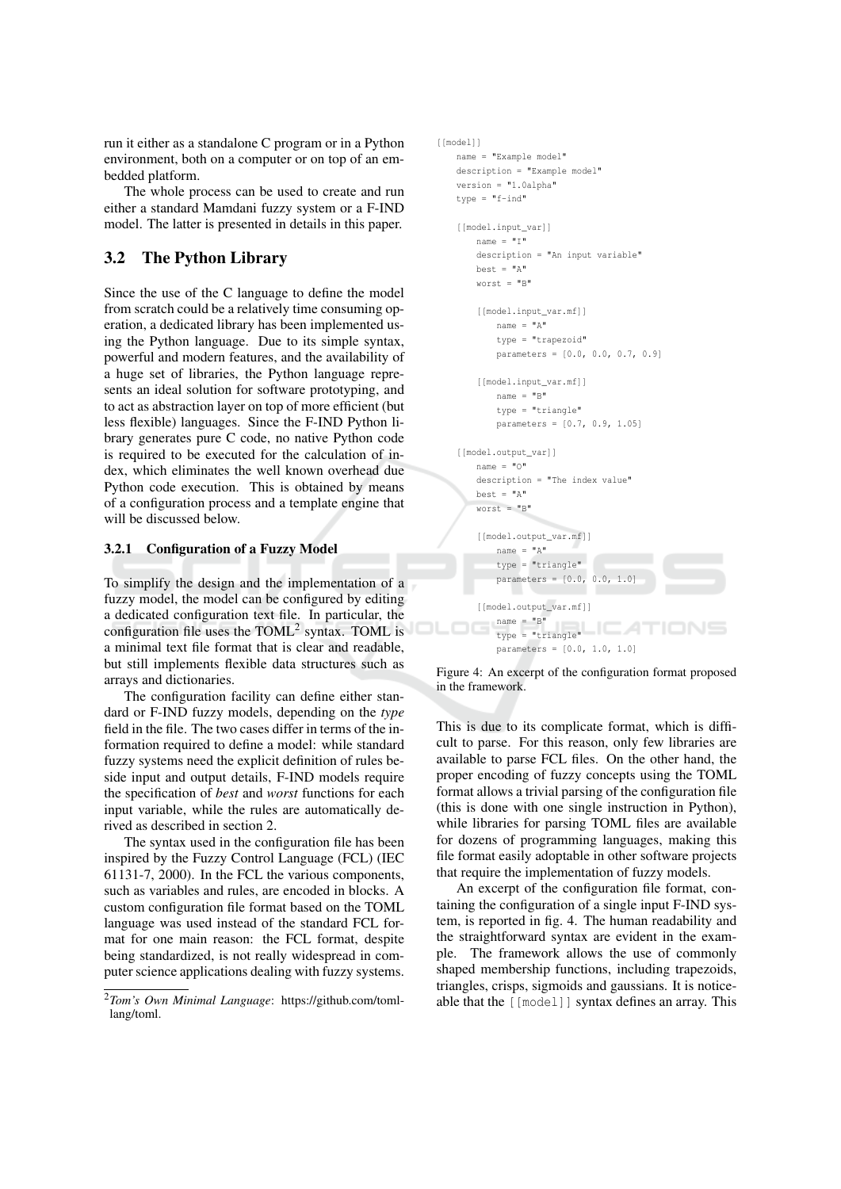run it either as a standalone C program or in a Python environment, both on a computer or on top of an embedded platform.

The whole process can be used to create and run either a standard Mamdani fuzzy system or a F-IND model. The latter is presented in details in this paper.

### $3.2$ **The Python Library**

Since the use of the C language to define the model from scratch could be a relatively time consuming operation, a dedicated library has been implemented using the Python language. Due to its simple syntax, powerful and modern features, and the availability of a huge set of libraries, the Python language represents an ideal solution for software prototyping, and to act as abstraction layer on top of more efficient (but less flexible) languages. Since the F-IND Python library generates pure C code, no native Python code is required to be executed for the calculation of index, which eliminates the well known overhead due Python code execution. This is obtained by means of a configuration process and a template engine that will be discussed below.

#### $3.2.1$ **Configuration of a Fuzzy Model**

To simplify the design and the implementation of a fuzzy model, the model can be configured by editing a dedicated configuration text file. In particular, the configuration file uses the TOML<sup>2</sup> syntax. TOML is a minimal text file format that is clear and readable, but still implements flexible data structures such as arrays and dictionaries.

The configuration facility can define either standard or F-IND fuzzy models, depending on the type field in the file. The two cases differ in terms of the information required to define a model: while standard fuzzy systems need the explicit definition of rules beside input and output details, F-IND models require the specification of *best* and *worst* functions for each input variable, while the rules are automatically derived as described in section 2.

The syntax used in the configuration file has been inspired by the Fuzzy Control Language (FCL) (IEC 61131-7, 2000). In the FCL the various components, such as variables and rules, are encoded in blocks. A custom configuration file format based on the TOML language was used instead of the standard FCL format for one main reason: the FCL format, despite being standardized, is not really widespread in computer science applications dealing with fuzzy systems.

```
[[model]]
name = "Example model"description = "Example model"version = "1.0alpha"type = "f-ind'
[[model.input var]]
    name = "I"description = "An input variable"best = "A"worst = "B"[[model.input_var.mf]]
        name = "A"type = "trapezoid"
        parameters = [0.0, 0.0, 0.7, 0.9][[model.input_var.mf]]
        name = "B"type = "triangle"
        parameters = [0.7, 0.9, 1.05][[model.output var]]
    name = "O"description = "The index value"best = "A"worst = "B"[[mode].output_var.mfl]
        name = "A"type = "triangle"parameters = [0.0, 0.0, 1.0][[model.output_var.mf]]
       name = "B"name = "B"<br>type = "triangle"
        parameters = [0.0, 1.0, 1.0]
```
Figure 4: An excerpt of the configuration format proposed in the framework.

This is due to its complicate format, which is difficult to parse. For this reason, only few libraries are available to parse FCL files. On the other hand, the proper encoding of fuzzy concepts using the TOML format allows a trivial parsing of the configuration file (this is done with one single instruction in Python), while libraries for parsing TOML files are available for dozens of programming languages, making this file format easily adoptable in other software projects that require the implementation of fuzzy models.

An excerpt of the configuration file format, containing the configuration of a single input F-IND system, is reported in fig. 4. The human readability and the straightforward syntax are evident in the example. The framework allows the use of commonly shaped membership functions, including trapezoids, triangles, crisps, sigmoids and gaussians. It is noticeable that the [[model]] syntax defines an array. This

<sup>&</sup>lt;sup>2</sup>Tom's Own Minimal Language: https://github.com/tomllang/toml.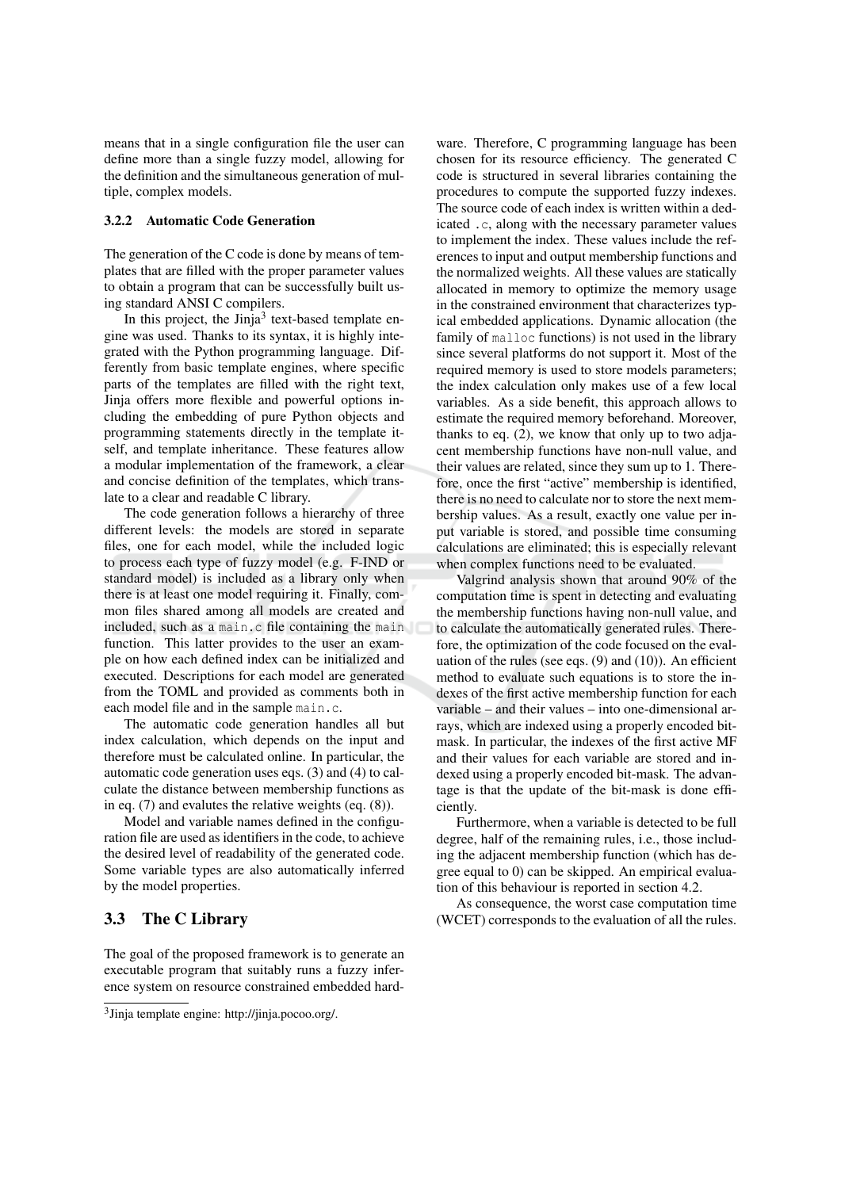means that in a single configuration file the user can define more than a single fuzzy model, allowing for the definition and the simultaneous generation of multiple, complex models.

# 3.2.2 Automatic Code Generation

The generation of the C code is done by means of templates that are filled with the proper parameter values to obtain a program that can be successfully built using standard ANSI C compilers.

In this project, the  $Jini^3$  text-based template engine was used. Thanks to its syntax, it is highly integrated with the Python programming language. Differently from basic template engines, where specific parts of the templates are filled with the right text, Jinja offers more flexible and powerful options including the embedding of pure Python objects and programming statements directly in the template itself, and template inheritance. These features allow a modular implementation of the framework, a clear and concise definition of the templates, which translate to a clear and readable C library.

The code generation follows a hierarchy of three different levels: the models are stored in separate files, one for each model, while the included logic to process each type of fuzzy model (e.g. F-IND or standard model) is included as a library only when there is at least one model requiring it. Finally, common files shared among all models are created and included, such as a main.c file containing the main function. This latter provides to the user an example on how each defined index can be initialized and executed. Descriptions for each model are generated from the TOML and provided as comments both in each model file and in the sample main.c.

The automatic code generation handles all but index calculation, which depends on the input and therefore must be calculated online. In particular, the automatic code generation uses eqs. (3) and (4) to calculate the distance between membership functions as in eq.  $(7)$  and evalutes the relative weights (eq.  $(8)$ ).

Model and variable names defined in the configuration file are used as identifiers in the code, to achieve the desired level of readability of the generated code. Some variable types are also automatically inferred by the model properties.

### $3.3$ The C Library

The goal of the proposed framework is to generate an executable program that suitably runs a fuzzy inference system on resource constrained embedded hard-

ware. Therefore, C programming language has been chosen for its resource efficiency. The generated C code is structured in several libraries containing the procedures to compute the supported fuzzy indexes. The source code of each index is written within a dedicated .c, along with the necessary parameter values to implement the index. These values include the references to input and output membership functions and the normalized weights. All these values are statically allocated in memory to optimize the memory usage in the constrained environment that characterizes typical embedded applications. Dynamic allocation (the family of malloc functions) is not used in the library since several platforms do not support it. Most of the required memory is used to store models parameters; the index calculation only makes use of a few local variables. As a side benefit, this approach allows to estimate the required memory beforehand. Moreover, thanks to eq.  $(2)$ , we know that only up to two adjacent membership functions have non-null value, and their values are related, since they sum up to 1. Therefore, once the first "active" membership is identified, there is no need to calculate nor to store the next membership values. As a result, exactly one value per input variable is stored, and possible time consuming calculations are eliminated; this is especially relevant when complex functions need to be evaluated.

Valgrind analysis shown that around 90% of the computation time is spent in detecting and evaluating the membership functions having non-null value, and to calculate the automatically generated rules. Therefore, the optimization of the code focused on the evaluation of the rules (see eqs.  $(9)$  and  $(10)$ ). An efficient method to evaluate such equations is to store the indexes of the first active membership function for each variable – and their values – into one-dimensional arrays, which are indexed using a properly encoded bitmask. In particular, the indexes of the first active MF and their values for each variable are stored and indexed using a properly encoded bit-mask. The advantage is that the update of the bit-mask is done efficiently.

Furthermore, when a variable is detected to be full degree, half of the remaining rules, i.e., those including the adjacent membership function (which has degree equal to 0) can be skipped. An empirical evaluation of this behaviour is reported in section 4.2.

As consequence, the worst case computation time (WCET) corresponds to the evaluation of all the rules.

 $3$ Jinja template engine: http://jinja.pocoo.org/.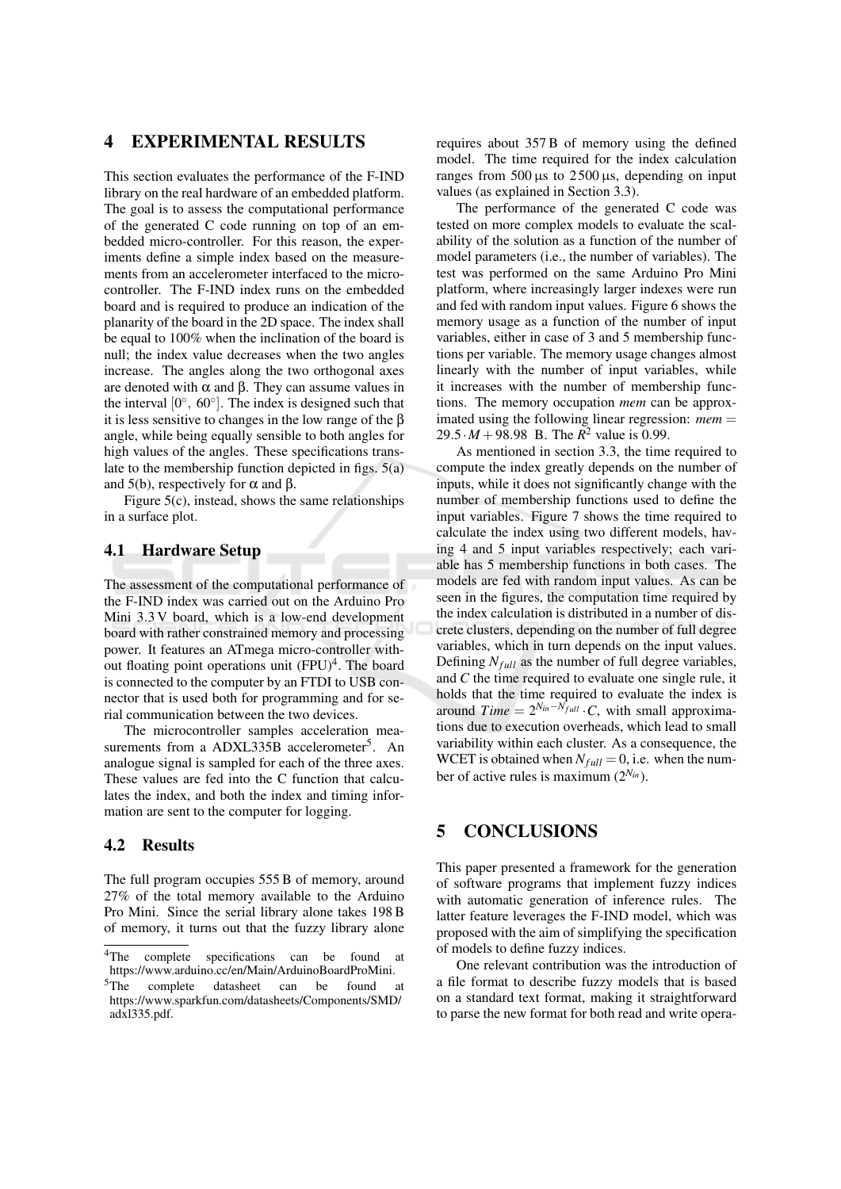## 4 **EXPERIMENTAL RESULTS**

This section evaluates the performance of the F-IND library on the real hardware of an embedded platform. The goal is to assess the computational performance of the generated C code running on top of an embedded micro-controller. For this reason, the experiments define a simple index based on the measurements from an accelerometer interfaced to the microcontroller. The F-IND index runs on the embedded board and is required to produce an indication of the planarity of the board in the 2D space. The index shall be equal to 100% when the inclination of the board is null; the index value decreases when the two angles increase. The angles along the two orthogonal axes are denoted with  $\alpha$  and  $\beta$ . They can assume values in the interval  $[0^{\circ}, 60^{\circ}]$ . The index is designed such that it is less sensitive to changes in the low range of the  $\beta$ angle, while being equally sensible to both angles for high values of the angles. These specifications translate to the membership function depicted in figs.  $5(a)$ and 5(b), respectively for  $\alpha$  and  $\beta$ .

Figure  $5(c)$ , instead, shows the same relationships in a surface plot.

#### **Hardware Setup** 4.1

The assessment of the computational performance of the F-IND index was carried out on the Arduino Pro Mini 3.3 V board, which is a low-end development board with rather constrained memory and processing power. It features an ATmega micro-controller without floating point operations unit  $(FPU)^4$ . The board is connected to the computer by an FTDI to USB connector that is used both for programming and for serial communication between the two devices.

The microcontroller samples acceleration measurements from a ADXL335B accelerometer<sup>5</sup>. An analogue signal is sampled for each of the three axes. These values are fed into the C function that calculates the index, and both the index and timing information are sent to the computer for logging.

# 4.2 Results

The full program occupies 555 B of memory, around 27% of the total memory available to the Arduino Pro Mini. Since the serial library alone takes 198 B of memory, it turns out that the fuzzy library alone

requires about 357 B of memory using the defined model. The time required for the index calculation ranges from  $500 \,\mu s$  to  $2500 \,\mu s$ , depending on input values (as explained in Section 3.3).

The performance of the generated C code was tested on more complex models to evaluate the scalability of the solution as a function of the number of model parameters (i.e., the number of variables). The test was performed on the same Arduino Pro Mini platform, where increasingly larger indexes were run and fed with random input values. Figure 6 shows the memory usage as a function of the number of input variables, either in case of 3 and 5 membership functions per variable. The memory usage changes almost linearly with the number of input variables, while it increases with the number of membership functions. The memory occupation *mem* can be approximated using the following linear regression:  $mem =$ 29.5  $\cdot M + 98.98$  B. The  $R^2$  value is 0.99.

As mentioned in section 3.3, the time required to compute the index greatly depends on the number of inputs, while it does not significantly change with the number of membership functions used to define the input variables. Figure 7 shows the time required to calculate the index using two different models, having 4 and 5 input variables respectively; each variable has 5 membership functions in both cases. The models are fed with random input values. As can be seen in the figures, the computation time required by the index calculation is distributed in a number of discrete clusters, depending on the number of full degree variables, which in turn depends on the input values. Defining  $N_{full}$  as the number of full degree variables, and  $C$  the time required to evaluate one single rule, it holds that the time required to evaluate the index is around Time =  $2^{N_{in} - \hat{N_{full}} \cdot C}$ , with small approximations due to execution overheads, which lead to small variability within each cluster. As a consequence, the WCET is obtained when  $N_{full} = 0$ , i.e. when the number of active rules is maximum  $(2^{N_{in}})$ .

## 5 **CONCLUSIONS**

This paper presented a framework for the generation of software programs that implement fuzzy indices with automatic generation of inference rules. The latter feature leverages the F-IND model, which was proposed with the aim of simplifying the specification of models to define fuzzy indices.

One relevant contribution was the introduction of a file format to describe fuzzy models that is based on a standard text format, making it straightforward to parse the new format for both read and write opera-

 $4$ The complete specifications can be found -at https://www.arduino.cc/en/Main/ArduinoBoardProMini.

 $^5\mathrm{The}$ complete datasheet can be found -at https://www.sparkfun.com/datasheets/Components/SMD/ adxl335.pdf.